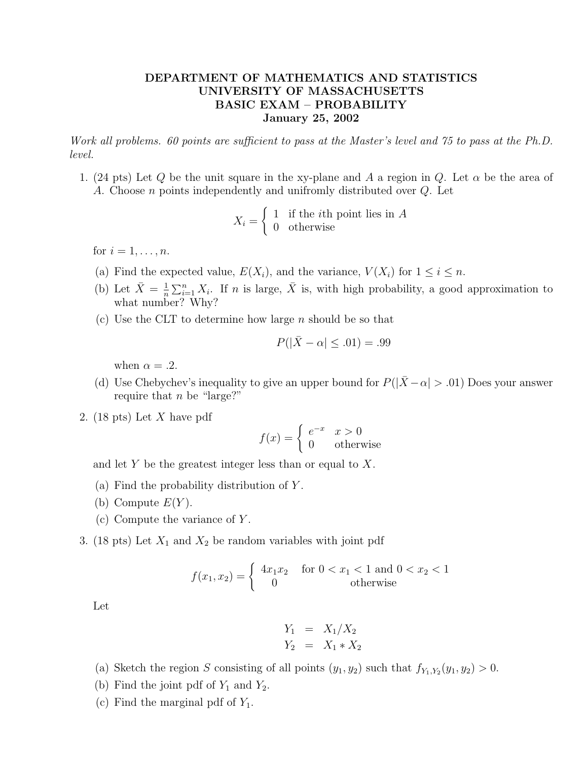## DEPARTMENT OF MATHEMATICS AND STATISTICS UNIVERSITY OF MASSACHUSETTS BASIC EXAM – PROBABILITY January 25, 2002

Work all problems. 60 points are sufficient to pass at the Master's level and 75 to pass at the Ph.D. level.

1. (24 pts) Let Q be the unit square in the xy-plane and A a region in Q. Let  $\alpha$  be the area of A. Choose n points independently and unifromly distributed over Q. Let

$$
X_i = \begin{cases} 1 & \text{if the } i\text{th point lies in } A \\ 0 & \text{otherwise} \end{cases}
$$

for  $i = 1, \ldots, n$ .

- (a) Find the expected value,  $E(X_i)$ , and the variance,  $V(X_i)$  for  $1 \leq i \leq n$ .
- (b) Let  $\bar{X} = \frac{1}{n}$  $\frac{1}{n}\sum_{i=1}^n X_i$ . If n is large,  $\bar{X}$  is, with high probability, a good approximation to what number? Why?
- (c) Use the CLT to determine how large  $n$  should be so that

$$
P(|\bar{X} - \alpha| \leq .01) = .99
$$

when  $\alpha = .2$ .

- (d) Use Chebychev's inequality to give an upper bound for  $P(|\bar{X}-\alpha| > .01)$  Does your answer require that  $n$  be "large?"
- 2. (18 pts) Let X have pdf

$$
f(x) = \begin{cases} e^{-x} & x > 0\\ 0 & \text{otherwise} \end{cases}
$$

and let Y be the greatest integer less than or equal to X.

- (a) Find the probability distribution of  $Y$ .
- (b) Compute  $E(Y)$ .
- (c) Compute the variance of Y .
- 3. (18 pts) Let  $X_1$  and  $X_2$  be random variables with joint pdf

$$
f(x_1, x_2) = \begin{cases} 4x_1x_2 & \text{for } 0 < x_1 < 1 \text{ and } 0 < x_2 < 1\\ 0 & \text{otherwise} \end{cases}
$$

Let

$$
Y_1 = X_1/X_2
$$
  

$$
Y_2 = X_1 * X_2
$$

- (a) Sketch the region S consisting of all points  $(y_1, y_2)$  such that  $f_{Y_1, Y_2}(y_1, y_2) > 0$ .
- (b) Find the joint pdf of  $Y_1$  and  $Y_2$ .
- (c) Find the marginal pdf of  $Y_1$ .